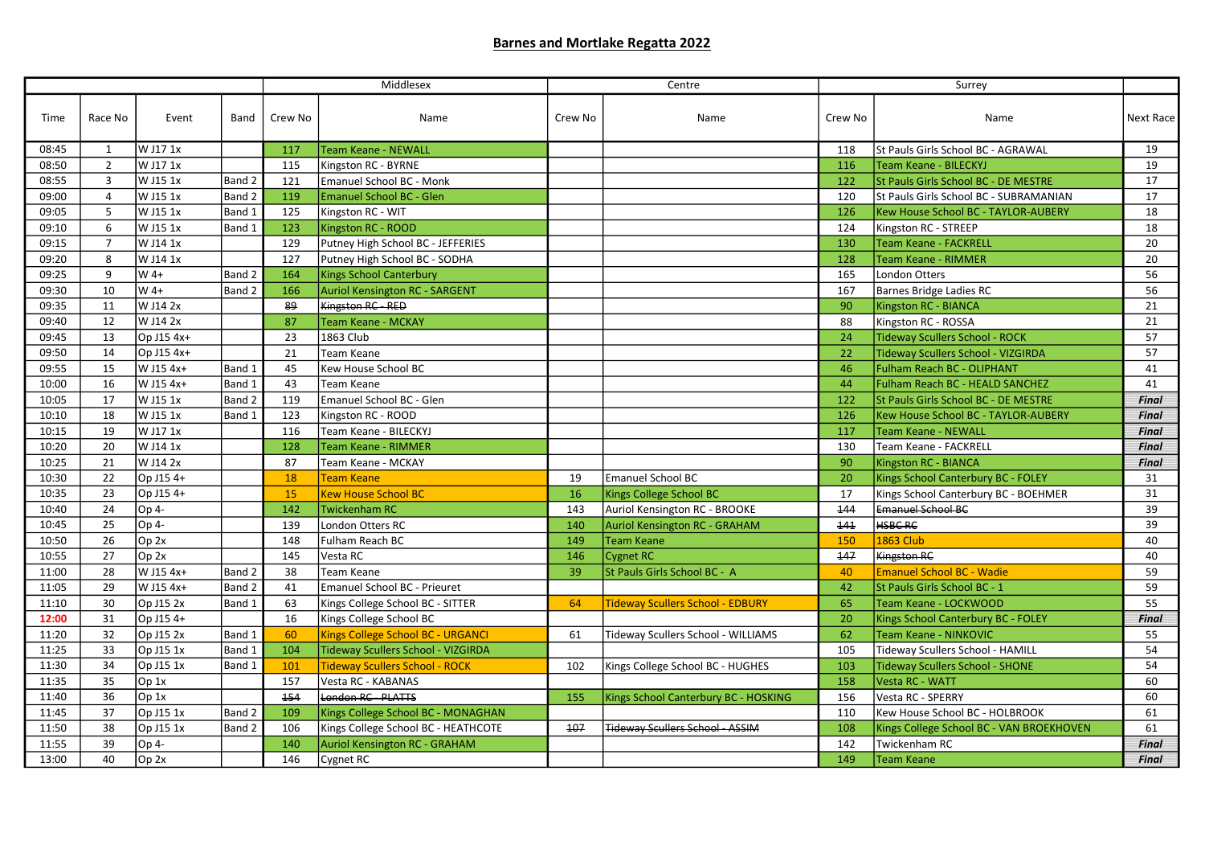## Barnes and Mortlake Regatta 2022

| Race No<br>Crew No<br>Next Race<br>Time<br>Event<br>Band<br>Crew No<br>Name<br>Crew No<br>Name<br>Name<br>lw J17 1x<br><b>Team Keane - NEWALL</b><br>St Pauls Girls School BC - AGRAWAL<br>19<br>08:45<br>117<br>118<br>1<br>08:50<br>$\overline{2}$<br>W J17 1x<br>19<br>115<br>Kingston RC - BYRNE<br>116<br>Team Keane - BILECKYJ<br>W J15 1x<br>Band 2<br>Emanuel School BC - Monk<br>St Pauls Girls School BC - DE MESTRE<br>17<br>08:55<br>$\overline{3}$<br>121<br>122<br>W J15 1x<br>Band 2<br>St Pauls Girls School BC - SUBRAMANIAN<br>17<br>09:00<br>$\overline{4}$<br>119<br><b>Emanuel School BC - Glen</b><br>120<br>09:05<br>5<br>W J15 1x<br>Band 1<br>18<br>125<br>Kingston RC - WIT<br>126<br>Kew House School BC - TAYLOR-AUBERY<br>09:10<br>W J15 1x<br>Band 1<br>18<br>6<br>123<br>Kingston RC - ROOD<br>Kingston RC - STREEP<br>124<br>09:15<br>$\overline{7}$<br>W J14 1x<br>129<br>Putney High School BC - JEFFERIES<br>130<br>Team Keane - FACKRELL<br>20<br>8<br>09:20<br>W J14 1x<br>127<br>Putney High School BC - SODHA<br>128<br>Team Keane - RIMMER<br>20<br>09:25<br>9<br>$W$ 4+<br>Band 2<br>56<br>164<br><b>Kings School Canterbury</b><br>165<br><b>London Otters</b><br>W 4+<br>Auriol Kensington RC - SARGENT<br>56<br>09:30<br>10<br>Band 2<br>166<br>167<br>Barnes Bridge Ladies RC<br>09:35<br>W J14 2x<br>89<br>Kingston RC - RED<br>21<br>11<br>90<br>Kingston RC - BIANCA<br>09:40<br>12<br>W J14 2x<br>21<br>87<br><b>Team Keane - MCKAY</b><br>88<br>Kingston RC - ROSSA<br>09:45<br>Op J15 4x+<br>57<br>13<br>23<br>1863 Club<br>24<br><b>Tideway Scullers School - ROCK</b><br>09:50<br>Op J15 4x+<br>Tideway Scullers School - VIZGIRDA<br>57<br>14<br>21<br><b>Team Keane</b><br>22<br>41<br>09:55<br>15<br>W J15 4x+<br>Band 1<br>45<br>Kew House School BC<br>46<br>Fulham Reach BC - OLIPHANT<br>10:00<br>16<br>W J15 4x+<br>Band 1<br>43<br><b>Team Keane</b><br>44<br>Fulham Reach BC - HEALD SANCHEZ<br>41<br>Emanuel School BC - Glen<br>17<br>W J15 1x<br>Band 2<br>119<br>St Pauls Girls School BC - DE MESTRE<br>10:05<br>122<br>Final<br>Kingston RC - ROOD<br>10:10<br>18<br>W J15 1x<br>Band 1<br>123<br>126<br>Kew House School BC - TAYLOR-AUBERY<br><b>Final</b><br>10:15<br>W J17 1x<br>Team Keane - BILECKYJ<br>19<br>116<br>117<br>Team Keane - NEWALL<br><b>Final</b><br>10:20<br>20<br>W J14 1x<br>Team Keane - FACKRELL<br>Final<br>128<br><b>Team Keane - RIMMER</b><br>130<br>10:25<br>21<br>W J14 2x<br><b>Final</b><br>87<br>Team Keane - MCKAY<br>90<br>Kingston RC - BIANCA<br>Emanuel School BC<br>10:30<br>22<br>Op J15 4+<br>Kings School Canterbury BC - FOLEY<br>31<br>18<br><b>Team Keane</b><br>19<br>20<br>15<br>10:35<br>23<br>Op J15 4+<br><b>Kew House School BC</b><br>16<br>Kings College School BC<br>Kings School Canterbury BC - BOEHMER<br>31<br>17<br>Op 4-<br>Auriol Kensington RC - BROOKE<br>144<br>Emanuel School BC<br>39<br>10:40<br>24<br>142<br><b>Twickenham RC</b><br>143<br><b>HSBC RC</b><br>10:45<br>25<br>Op 4-<br>London Otters RC<br>141<br>39<br>139<br>140<br><b>Auriol Kensington RC - GRAHAM</b><br>149<br>10:50<br>26<br>Op <sub>2x</sub><br>148<br>Fulham Reach BC<br><b>Team Keane</b><br>150<br>1863 Club<br>40<br>10:55<br>27<br>Op 2x<br>40<br>Vesta RC<br>147<br><b>Kingston RC</b><br>145<br>146<br>Cygnet RC<br>W J15 4x+<br>Band 2<br>St Pauls Girls School BC - A<br>59<br>11:00<br>28<br>39<br><b>Emanuel School BC - Wadie</b><br>38<br><b>Team Keane</b><br>40<br>11:05<br>29<br>W J15 4x+<br>59<br>Band 2<br>41<br>Emanuel School BC - Prieuret<br>42<br>St Pauls Girls School BC - 1<br>11:10<br>Op J15 2x<br>Band 1<br>Kings College School BC - SITTER<br><b>Tideway Scullers School - EDBURY</b><br>55<br>30<br>63<br>64<br>65<br>Team Keane - LOCKWOOD<br>16<br>12:00<br>31<br>Op J15 4+<br>Kings College School BC<br>20<br>Kings School Canterbury BC - FOLEY<br><b>Final</b><br>Kings College School BC - URGANCI<br>62<br>11:20<br>32<br>Op J15 2x<br>Band 1<br>60<br>61<br>Tideway Scullers School - WILLIAMS<br>Team Keane - NINKOVIC<br>55<br>$\overline{54}$<br>11:25<br>33<br>Op J15 1x<br>Band 1<br>Tideway Scullers School - HAMILL<br>104<br>Tideway Scullers School - VIZGIRDA<br>105<br><b>Tideway Scullers School - ROCK</b><br>54<br>11:30<br>34<br>Op J15 1x<br>101<br>102<br>Kings College School BC - HUGHES<br>103<br><b>Tideway Scullers School - SHONE</b><br>Band 1<br>35<br>Op 1x<br>60<br>11:35<br>157<br>Vesta RC - KABANAS<br>Vesta RC - WATT<br>158<br>Op 1x<br>London RC - PLATTS<br>11:40<br>36<br>154<br>Kings School Canterbury BC - HOSKING<br>60<br>155<br>156<br>Vesta RC - SPERRY<br>11:45<br>37<br>Op J15 1x<br>Band 2<br>61<br>109<br>Kings College School BC - MONAGHAN<br>Kew House School BC - HOLBROOK<br>110<br>11:50<br>Op J15 1x<br>Kings College School BC - HEATHCOTE<br>107<br><b>Tideway Scullers School - ASSIM</b><br>38<br>Band 2<br>106<br>108<br>Kings College School BC - VAN BROEKHOVEN<br>61<br>11:55<br>39<br>Op 4-<br>142<br>Twickenham RC<br>140<br>Auriol Kensington RC - GRAHAM<br><b>Final</b><br>13:00<br>40<br>Op <sub>2x</sub><br>146<br>149<br><b>Final</b><br>Cygnet RC<br><b>Team Keane</b> |  |  |  | Middlesex |  |  | Centre |  | Surrey |  |
|---------------------------------------------------------------------------------------------------------------------------------------------------------------------------------------------------------------------------------------------------------------------------------------------------------------------------------------------------------------------------------------------------------------------------------------------------------------------------------------------------------------------------------------------------------------------------------------------------------------------------------------------------------------------------------------------------------------------------------------------------------------------------------------------------------------------------------------------------------------------------------------------------------------------------------------------------------------------------------------------------------------------------------------------------------------------------------------------------------------------------------------------------------------------------------------------------------------------------------------------------------------------------------------------------------------------------------------------------------------------------------------------------------------------------------------------------------------------------------------------------------------------------------------------------------------------------------------------------------------------------------------------------------------------------------------------------------------------------------------------------------------------------------------------------------------------------------------------------------------------------------------------------------------------------------------------------------------------------------------------------------------------------------------------------------------------------------------------------------------------------------------------------------------------------------------------------------------------------------------------------------------------------------------------------------------------------------------------------------------------------------------------------------------------------------------------------------------------------------------------------------------------------------------------------------------------------------------------------------------------------------------------------------------------------------------------------------------------------------------------------------------------------------------------------------------------------------------------------------------------------------------------------------------------------------------------------------------------------------------------------------------------------------------------------------------------------------------------------------------------------------------------------------------------------------------------------------------------------------------------------------------------------------------------------------------------------------------------------------------------------------------------------------------------------------------------------------------------------------------------------------------------------------------------------------------------------------------------------------------------------------------------------------------------------------------------------------------------------------------------------------------------------------------------------------------------------------------------------------------------------------------------------------------------------------------------------------------------------------------------------------------------------------------------------------------------------------------------------------------------------------------------------------------------------------------------------------------------------------------------------------------------------------------------------------------------------------------------------------------------------------------------------------------------------------------------------------------------------------------------------------------------------------------------------------------------------------------------------------------------------------------------------------------------------------------------------------------------------------------------------------------------------------------------------------------------------------------------------------------------------------------------------------------------------------------------------------------------------------------------------------------------------------------------------------------------------------------------------------------------------------------------------------------------------------------------------------|--|--|--|-----------|--|--|--------|--|--------|--|
|                                                                                                                                                                                                                                                                                                                                                                                                                                                                                                                                                                                                                                                                                                                                                                                                                                                                                                                                                                                                                                                                                                                                                                                                                                                                                                                                                                                                                                                                                                                                                                                                                                                                                                                                                                                                                                                                                                                                                                                                                                                                                                                                                                                                                                                                                                                                                                                                                                                                                                                                                                                                                                                                                                                                                                                                                                                                                                                                                                                                                                                                                                                                                                                                                                                                                                                                                                                                                                                                                                                                                                                                                                                                                                                                                                                                                                                                                                                                                                                                                                                                                                                                                                                                                                                                                                                                                                                                                                                                                                                                                                                                                                                                                                                                                                                                                                                                                                                                                                                                                                                                                                                                                                                                         |  |  |  |           |  |  |        |  |        |  |
|                                                                                                                                                                                                                                                                                                                                                                                                                                                                                                                                                                                                                                                                                                                                                                                                                                                                                                                                                                                                                                                                                                                                                                                                                                                                                                                                                                                                                                                                                                                                                                                                                                                                                                                                                                                                                                                                                                                                                                                                                                                                                                                                                                                                                                                                                                                                                                                                                                                                                                                                                                                                                                                                                                                                                                                                                                                                                                                                                                                                                                                                                                                                                                                                                                                                                                                                                                                                                                                                                                                                                                                                                                                                                                                                                                                                                                                                                                                                                                                                                                                                                                                                                                                                                                                                                                                                                                                                                                                                                                                                                                                                                                                                                                                                                                                                                                                                                                                                                                                                                                                                                                                                                                                                         |  |  |  |           |  |  |        |  |        |  |
|                                                                                                                                                                                                                                                                                                                                                                                                                                                                                                                                                                                                                                                                                                                                                                                                                                                                                                                                                                                                                                                                                                                                                                                                                                                                                                                                                                                                                                                                                                                                                                                                                                                                                                                                                                                                                                                                                                                                                                                                                                                                                                                                                                                                                                                                                                                                                                                                                                                                                                                                                                                                                                                                                                                                                                                                                                                                                                                                                                                                                                                                                                                                                                                                                                                                                                                                                                                                                                                                                                                                                                                                                                                                                                                                                                                                                                                                                                                                                                                                                                                                                                                                                                                                                                                                                                                                                                                                                                                                                                                                                                                                                                                                                                                                                                                                                                                                                                                                                                                                                                                                                                                                                                                                         |  |  |  |           |  |  |        |  |        |  |
|                                                                                                                                                                                                                                                                                                                                                                                                                                                                                                                                                                                                                                                                                                                                                                                                                                                                                                                                                                                                                                                                                                                                                                                                                                                                                                                                                                                                                                                                                                                                                                                                                                                                                                                                                                                                                                                                                                                                                                                                                                                                                                                                                                                                                                                                                                                                                                                                                                                                                                                                                                                                                                                                                                                                                                                                                                                                                                                                                                                                                                                                                                                                                                                                                                                                                                                                                                                                                                                                                                                                                                                                                                                                                                                                                                                                                                                                                                                                                                                                                                                                                                                                                                                                                                                                                                                                                                                                                                                                                                                                                                                                                                                                                                                                                                                                                                                                                                                                                                                                                                                                                                                                                                                                         |  |  |  |           |  |  |        |  |        |  |
|                                                                                                                                                                                                                                                                                                                                                                                                                                                                                                                                                                                                                                                                                                                                                                                                                                                                                                                                                                                                                                                                                                                                                                                                                                                                                                                                                                                                                                                                                                                                                                                                                                                                                                                                                                                                                                                                                                                                                                                                                                                                                                                                                                                                                                                                                                                                                                                                                                                                                                                                                                                                                                                                                                                                                                                                                                                                                                                                                                                                                                                                                                                                                                                                                                                                                                                                                                                                                                                                                                                                                                                                                                                                                                                                                                                                                                                                                                                                                                                                                                                                                                                                                                                                                                                                                                                                                                                                                                                                                                                                                                                                                                                                                                                                                                                                                                                                                                                                                                                                                                                                                                                                                                                                         |  |  |  |           |  |  |        |  |        |  |
|                                                                                                                                                                                                                                                                                                                                                                                                                                                                                                                                                                                                                                                                                                                                                                                                                                                                                                                                                                                                                                                                                                                                                                                                                                                                                                                                                                                                                                                                                                                                                                                                                                                                                                                                                                                                                                                                                                                                                                                                                                                                                                                                                                                                                                                                                                                                                                                                                                                                                                                                                                                                                                                                                                                                                                                                                                                                                                                                                                                                                                                                                                                                                                                                                                                                                                                                                                                                                                                                                                                                                                                                                                                                                                                                                                                                                                                                                                                                                                                                                                                                                                                                                                                                                                                                                                                                                                                                                                                                                                                                                                                                                                                                                                                                                                                                                                                                                                                                                                                                                                                                                                                                                                                                         |  |  |  |           |  |  |        |  |        |  |
|                                                                                                                                                                                                                                                                                                                                                                                                                                                                                                                                                                                                                                                                                                                                                                                                                                                                                                                                                                                                                                                                                                                                                                                                                                                                                                                                                                                                                                                                                                                                                                                                                                                                                                                                                                                                                                                                                                                                                                                                                                                                                                                                                                                                                                                                                                                                                                                                                                                                                                                                                                                                                                                                                                                                                                                                                                                                                                                                                                                                                                                                                                                                                                                                                                                                                                                                                                                                                                                                                                                                                                                                                                                                                                                                                                                                                                                                                                                                                                                                                                                                                                                                                                                                                                                                                                                                                                                                                                                                                                                                                                                                                                                                                                                                                                                                                                                                                                                                                                                                                                                                                                                                                                                                         |  |  |  |           |  |  |        |  |        |  |
|                                                                                                                                                                                                                                                                                                                                                                                                                                                                                                                                                                                                                                                                                                                                                                                                                                                                                                                                                                                                                                                                                                                                                                                                                                                                                                                                                                                                                                                                                                                                                                                                                                                                                                                                                                                                                                                                                                                                                                                                                                                                                                                                                                                                                                                                                                                                                                                                                                                                                                                                                                                                                                                                                                                                                                                                                                                                                                                                                                                                                                                                                                                                                                                                                                                                                                                                                                                                                                                                                                                                                                                                                                                                                                                                                                                                                                                                                                                                                                                                                                                                                                                                                                                                                                                                                                                                                                                                                                                                                                                                                                                                                                                                                                                                                                                                                                                                                                                                                                                                                                                                                                                                                                                                         |  |  |  |           |  |  |        |  |        |  |
|                                                                                                                                                                                                                                                                                                                                                                                                                                                                                                                                                                                                                                                                                                                                                                                                                                                                                                                                                                                                                                                                                                                                                                                                                                                                                                                                                                                                                                                                                                                                                                                                                                                                                                                                                                                                                                                                                                                                                                                                                                                                                                                                                                                                                                                                                                                                                                                                                                                                                                                                                                                                                                                                                                                                                                                                                                                                                                                                                                                                                                                                                                                                                                                                                                                                                                                                                                                                                                                                                                                                                                                                                                                                                                                                                                                                                                                                                                                                                                                                                                                                                                                                                                                                                                                                                                                                                                                                                                                                                                                                                                                                                                                                                                                                                                                                                                                                                                                                                                                                                                                                                                                                                                                                         |  |  |  |           |  |  |        |  |        |  |
|                                                                                                                                                                                                                                                                                                                                                                                                                                                                                                                                                                                                                                                                                                                                                                                                                                                                                                                                                                                                                                                                                                                                                                                                                                                                                                                                                                                                                                                                                                                                                                                                                                                                                                                                                                                                                                                                                                                                                                                                                                                                                                                                                                                                                                                                                                                                                                                                                                                                                                                                                                                                                                                                                                                                                                                                                                                                                                                                                                                                                                                                                                                                                                                                                                                                                                                                                                                                                                                                                                                                                                                                                                                                                                                                                                                                                                                                                                                                                                                                                                                                                                                                                                                                                                                                                                                                                                                                                                                                                                                                                                                                                                                                                                                                                                                                                                                                                                                                                                                                                                                                                                                                                                                                         |  |  |  |           |  |  |        |  |        |  |
|                                                                                                                                                                                                                                                                                                                                                                                                                                                                                                                                                                                                                                                                                                                                                                                                                                                                                                                                                                                                                                                                                                                                                                                                                                                                                                                                                                                                                                                                                                                                                                                                                                                                                                                                                                                                                                                                                                                                                                                                                                                                                                                                                                                                                                                                                                                                                                                                                                                                                                                                                                                                                                                                                                                                                                                                                                                                                                                                                                                                                                                                                                                                                                                                                                                                                                                                                                                                                                                                                                                                                                                                                                                                                                                                                                                                                                                                                                                                                                                                                                                                                                                                                                                                                                                                                                                                                                                                                                                                                                                                                                                                                                                                                                                                                                                                                                                                                                                                                                                                                                                                                                                                                                                                         |  |  |  |           |  |  |        |  |        |  |
|                                                                                                                                                                                                                                                                                                                                                                                                                                                                                                                                                                                                                                                                                                                                                                                                                                                                                                                                                                                                                                                                                                                                                                                                                                                                                                                                                                                                                                                                                                                                                                                                                                                                                                                                                                                                                                                                                                                                                                                                                                                                                                                                                                                                                                                                                                                                                                                                                                                                                                                                                                                                                                                                                                                                                                                                                                                                                                                                                                                                                                                                                                                                                                                                                                                                                                                                                                                                                                                                                                                                                                                                                                                                                                                                                                                                                                                                                                                                                                                                                                                                                                                                                                                                                                                                                                                                                                                                                                                                                                                                                                                                                                                                                                                                                                                                                                                                                                                                                                                                                                                                                                                                                                                                         |  |  |  |           |  |  |        |  |        |  |
|                                                                                                                                                                                                                                                                                                                                                                                                                                                                                                                                                                                                                                                                                                                                                                                                                                                                                                                                                                                                                                                                                                                                                                                                                                                                                                                                                                                                                                                                                                                                                                                                                                                                                                                                                                                                                                                                                                                                                                                                                                                                                                                                                                                                                                                                                                                                                                                                                                                                                                                                                                                                                                                                                                                                                                                                                                                                                                                                                                                                                                                                                                                                                                                                                                                                                                                                                                                                                                                                                                                                                                                                                                                                                                                                                                                                                                                                                                                                                                                                                                                                                                                                                                                                                                                                                                                                                                                                                                                                                                                                                                                                                                                                                                                                                                                                                                                                                                                                                                                                                                                                                                                                                                                                         |  |  |  |           |  |  |        |  |        |  |
|                                                                                                                                                                                                                                                                                                                                                                                                                                                                                                                                                                                                                                                                                                                                                                                                                                                                                                                                                                                                                                                                                                                                                                                                                                                                                                                                                                                                                                                                                                                                                                                                                                                                                                                                                                                                                                                                                                                                                                                                                                                                                                                                                                                                                                                                                                                                                                                                                                                                                                                                                                                                                                                                                                                                                                                                                                                                                                                                                                                                                                                                                                                                                                                                                                                                                                                                                                                                                                                                                                                                                                                                                                                                                                                                                                                                                                                                                                                                                                                                                                                                                                                                                                                                                                                                                                                                                                                                                                                                                                                                                                                                                                                                                                                                                                                                                                                                                                                                                                                                                                                                                                                                                                                                         |  |  |  |           |  |  |        |  |        |  |
|                                                                                                                                                                                                                                                                                                                                                                                                                                                                                                                                                                                                                                                                                                                                                                                                                                                                                                                                                                                                                                                                                                                                                                                                                                                                                                                                                                                                                                                                                                                                                                                                                                                                                                                                                                                                                                                                                                                                                                                                                                                                                                                                                                                                                                                                                                                                                                                                                                                                                                                                                                                                                                                                                                                                                                                                                                                                                                                                                                                                                                                                                                                                                                                                                                                                                                                                                                                                                                                                                                                                                                                                                                                                                                                                                                                                                                                                                                                                                                                                                                                                                                                                                                                                                                                                                                                                                                                                                                                                                                                                                                                                                                                                                                                                                                                                                                                                                                                                                                                                                                                                                                                                                                                                         |  |  |  |           |  |  |        |  |        |  |
|                                                                                                                                                                                                                                                                                                                                                                                                                                                                                                                                                                                                                                                                                                                                                                                                                                                                                                                                                                                                                                                                                                                                                                                                                                                                                                                                                                                                                                                                                                                                                                                                                                                                                                                                                                                                                                                                                                                                                                                                                                                                                                                                                                                                                                                                                                                                                                                                                                                                                                                                                                                                                                                                                                                                                                                                                                                                                                                                                                                                                                                                                                                                                                                                                                                                                                                                                                                                                                                                                                                                                                                                                                                                                                                                                                                                                                                                                                                                                                                                                                                                                                                                                                                                                                                                                                                                                                                                                                                                                                                                                                                                                                                                                                                                                                                                                                                                                                                                                                                                                                                                                                                                                                                                         |  |  |  |           |  |  |        |  |        |  |
|                                                                                                                                                                                                                                                                                                                                                                                                                                                                                                                                                                                                                                                                                                                                                                                                                                                                                                                                                                                                                                                                                                                                                                                                                                                                                                                                                                                                                                                                                                                                                                                                                                                                                                                                                                                                                                                                                                                                                                                                                                                                                                                                                                                                                                                                                                                                                                                                                                                                                                                                                                                                                                                                                                                                                                                                                                                                                                                                                                                                                                                                                                                                                                                                                                                                                                                                                                                                                                                                                                                                                                                                                                                                                                                                                                                                                                                                                                                                                                                                                                                                                                                                                                                                                                                                                                                                                                                                                                                                                                                                                                                                                                                                                                                                                                                                                                                                                                                                                                                                                                                                                                                                                                                                         |  |  |  |           |  |  |        |  |        |  |
|                                                                                                                                                                                                                                                                                                                                                                                                                                                                                                                                                                                                                                                                                                                                                                                                                                                                                                                                                                                                                                                                                                                                                                                                                                                                                                                                                                                                                                                                                                                                                                                                                                                                                                                                                                                                                                                                                                                                                                                                                                                                                                                                                                                                                                                                                                                                                                                                                                                                                                                                                                                                                                                                                                                                                                                                                                                                                                                                                                                                                                                                                                                                                                                                                                                                                                                                                                                                                                                                                                                                                                                                                                                                                                                                                                                                                                                                                                                                                                                                                                                                                                                                                                                                                                                                                                                                                                                                                                                                                                                                                                                                                                                                                                                                                                                                                                                                                                                                                                                                                                                                                                                                                                                                         |  |  |  |           |  |  |        |  |        |  |
|                                                                                                                                                                                                                                                                                                                                                                                                                                                                                                                                                                                                                                                                                                                                                                                                                                                                                                                                                                                                                                                                                                                                                                                                                                                                                                                                                                                                                                                                                                                                                                                                                                                                                                                                                                                                                                                                                                                                                                                                                                                                                                                                                                                                                                                                                                                                                                                                                                                                                                                                                                                                                                                                                                                                                                                                                                                                                                                                                                                                                                                                                                                                                                                                                                                                                                                                                                                                                                                                                                                                                                                                                                                                                                                                                                                                                                                                                                                                                                                                                                                                                                                                                                                                                                                                                                                                                                                                                                                                                                                                                                                                                                                                                                                                                                                                                                                                                                                                                                                                                                                                                                                                                                                                         |  |  |  |           |  |  |        |  |        |  |
|                                                                                                                                                                                                                                                                                                                                                                                                                                                                                                                                                                                                                                                                                                                                                                                                                                                                                                                                                                                                                                                                                                                                                                                                                                                                                                                                                                                                                                                                                                                                                                                                                                                                                                                                                                                                                                                                                                                                                                                                                                                                                                                                                                                                                                                                                                                                                                                                                                                                                                                                                                                                                                                                                                                                                                                                                                                                                                                                                                                                                                                                                                                                                                                                                                                                                                                                                                                                                                                                                                                                                                                                                                                                                                                                                                                                                                                                                                                                                                                                                                                                                                                                                                                                                                                                                                                                                                                                                                                                                                                                                                                                                                                                                                                                                                                                                                                                                                                                                                                                                                                                                                                                                                                                         |  |  |  |           |  |  |        |  |        |  |
|                                                                                                                                                                                                                                                                                                                                                                                                                                                                                                                                                                                                                                                                                                                                                                                                                                                                                                                                                                                                                                                                                                                                                                                                                                                                                                                                                                                                                                                                                                                                                                                                                                                                                                                                                                                                                                                                                                                                                                                                                                                                                                                                                                                                                                                                                                                                                                                                                                                                                                                                                                                                                                                                                                                                                                                                                                                                                                                                                                                                                                                                                                                                                                                                                                                                                                                                                                                                                                                                                                                                                                                                                                                                                                                                                                                                                                                                                                                                                                                                                                                                                                                                                                                                                                                                                                                                                                                                                                                                                                                                                                                                                                                                                                                                                                                                                                                                                                                                                                                                                                                                                                                                                                                                         |  |  |  |           |  |  |        |  |        |  |
|                                                                                                                                                                                                                                                                                                                                                                                                                                                                                                                                                                                                                                                                                                                                                                                                                                                                                                                                                                                                                                                                                                                                                                                                                                                                                                                                                                                                                                                                                                                                                                                                                                                                                                                                                                                                                                                                                                                                                                                                                                                                                                                                                                                                                                                                                                                                                                                                                                                                                                                                                                                                                                                                                                                                                                                                                                                                                                                                                                                                                                                                                                                                                                                                                                                                                                                                                                                                                                                                                                                                                                                                                                                                                                                                                                                                                                                                                                                                                                                                                                                                                                                                                                                                                                                                                                                                                                                                                                                                                                                                                                                                                                                                                                                                                                                                                                                                                                                                                                                                                                                                                                                                                                                                         |  |  |  |           |  |  |        |  |        |  |
|                                                                                                                                                                                                                                                                                                                                                                                                                                                                                                                                                                                                                                                                                                                                                                                                                                                                                                                                                                                                                                                                                                                                                                                                                                                                                                                                                                                                                                                                                                                                                                                                                                                                                                                                                                                                                                                                                                                                                                                                                                                                                                                                                                                                                                                                                                                                                                                                                                                                                                                                                                                                                                                                                                                                                                                                                                                                                                                                                                                                                                                                                                                                                                                                                                                                                                                                                                                                                                                                                                                                                                                                                                                                                                                                                                                                                                                                                                                                                                                                                                                                                                                                                                                                                                                                                                                                                                                                                                                                                                                                                                                                                                                                                                                                                                                                                                                                                                                                                                                                                                                                                                                                                                                                         |  |  |  |           |  |  |        |  |        |  |
|                                                                                                                                                                                                                                                                                                                                                                                                                                                                                                                                                                                                                                                                                                                                                                                                                                                                                                                                                                                                                                                                                                                                                                                                                                                                                                                                                                                                                                                                                                                                                                                                                                                                                                                                                                                                                                                                                                                                                                                                                                                                                                                                                                                                                                                                                                                                                                                                                                                                                                                                                                                                                                                                                                                                                                                                                                                                                                                                                                                                                                                                                                                                                                                                                                                                                                                                                                                                                                                                                                                                                                                                                                                                                                                                                                                                                                                                                                                                                                                                                                                                                                                                                                                                                                                                                                                                                                                                                                                                                                                                                                                                                                                                                                                                                                                                                                                                                                                                                                                                                                                                                                                                                                                                         |  |  |  |           |  |  |        |  |        |  |
|                                                                                                                                                                                                                                                                                                                                                                                                                                                                                                                                                                                                                                                                                                                                                                                                                                                                                                                                                                                                                                                                                                                                                                                                                                                                                                                                                                                                                                                                                                                                                                                                                                                                                                                                                                                                                                                                                                                                                                                                                                                                                                                                                                                                                                                                                                                                                                                                                                                                                                                                                                                                                                                                                                                                                                                                                                                                                                                                                                                                                                                                                                                                                                                                                                                                                                                                                                                                                                                                                                                                                                                                                                                                                                                                                                                                                                                                                                                                                                                                                                                                                                                                                                                                                                                                                                                                                                                                                                                                                                                                                                                                                                                                                                                                                                                                                                                                                                                                                                                                                                                                                                                                                                                                         |  |  |  |           |  |  |        |  |        |  |
|                                                                                                                                                                                                                                                                                                                                                                                                                                                                                                                                                                                                                                                                                                                                                                                                                                                                                                                                                                                                                                                                                                                                                                                                                                                                                                                                                                                                                                                                                                                                                                                                                                                                                                                                                                                                                                                                                                                                                                                                                                                                                                                                                                                                                                                                                                                                                                                                                                                                                                                                                                                                                                                                                                                                                                                                                                                                                                                                                                                                                                                                                                                                                                                                                                                                                                                                                                                                                                                                                                                                                                                                                                                                                                                                                                                                                                                                                                                                                                                                                                                                                                                                                                                                                                                                                                                                                                                                                                                                                                                                                                                                                                                                                                                                                                                                                                                                                                                                                                                                                                                                                                                                                                                                         |  |  |  |           |  |  |        |  |        |  |
|                                                                                                                                                                                                                                                                                                                                                                                                                                                                                                                                                                                                                                                                                                                                                                                                                                                                                                                                                                                                                                                                                                                                                                                                                                                                                                                                                                                                                                                                                                                                                                                                                                                                                                                                                                                                                                                                                                                                                                                                                                                                                                                                                                                                                                                                                                                                                                                                                                                                                                                                                                                                                                                                                                                                                                                                                                                                                                                                                                                                                                                                                                                                                                                                                                                                                                                                                                                                                                                                                                                                                                                                                                                                                                                                                                                                                                                                                                                                                                                                                                                                                                                                                                                                                                                                                                                                                                                                                                                                                                                                                                                                                                                                                                                                                                                                                                                                                                                                                                                                                                                                                                                                                                                                         |  |  |  |           |  |  |        |  |        |  |
|                                                                                                                                                                                                                                                                                                                                                                                                                                                                                                                                                                                                                                                                                                                                                                                                                                                                                                                                                                                                                                                                                                                                                                                                                                                                                                                                                                                                                                                                                                                                                                                                                                                                                                                                                                                                                                                                                                                                                                                                                                                                                                                                                                                                                                                                                                                                                                                                                                                                                                                                                                                                                                                                                                                                                                                                                                                                                                                                                                                                                                                                                                                                                                                                                                                                                                                                                                                                                                                                                                                                                                                                                                                                                                                                                                                                                                                                                                                                                                                                                                                                                                                                                                                                                                                                                                                                                                                                                                                                                                                                                                                                                                                                                                                                                                                                                                                                                                                                                                                                                                                                                                                                                                                                         |  |  |  |           |  |  |        |  |        |  |
|                                                                                                                                                                                                                                                                                                                                                                                                                                                                                                                                                                                                                                                                                                                                                                                                                                                                                                                                                                                                                                                                                                                                                                                                                                                                                                                                                                                                                                                                                                                                                                                                                                                                                                                                                                                                                                                                                                                                                                                                                                                                                                                                                                                                                                                                                                                                                                                                                                                                                                                                                                                                                                                                                                                                                                                                                                                                                                                                                                                                                                                                                                                                                                                                                                                                                                                                                                                                                                                                                                                                                                                                                                                                                                                                                                                                                                                                                                                                                                                                                                                                                                                                                                                                                                                                                                                                                                                                                                                                                                                                                                                                                                                                                                                                                                                                                                                                                                                                                                                                                                                                                                                                                                                                         |  |  |  |           |  |  |        |  |        |  |
|                                                                                                                                                                                                                                                                                                                                                                                                                                                                                                                                                                                                                                                                                                                                                                                                                                                                                                                                                                                                                                                                                                                                                                                                                                                                                                                                                                                                                                                                                                                                                                                                                                                                                                                                                                                                                                                                                                                                                                                                                                                                                                                                                                                                                                                                                                                                                                                                                                                                                                                                                                                                                                                                                                                                                                                                                                                                                                                                                                                                                                                                                                                                                                                                                                                                                                                                                                                                                                                                                                                                                                                                                                                                                                                                                                                                                                                                                                                                                                                                                                                                                                                                                                                                                                                                                                                                                                                                                                                                                                                                                                                                                                                                                                                                                                                                                                                                                                                                                                                                                                                                                                                                                                                                         |  |  |  |           |  |  |        |  |        |  |
|                                                                                                                                                                                                                                                                                                                                                                                                                                                                                                                                                                                                                                                                                                                                                                                                                                                                                                                                                                                                                                                                                                                                                                                                                                                                                                                                                                                                                                                                                                                                                                                                                                                                                                                                                                                                                                                                                                                                                                                                                                                                                                                                                                                                                                                                                                                                                                                                                                                                                                                                                                                                                                                                                                                                                                                                                                                                                                                                                                                                                                                                                                                                                                                                                                                                                                                                                                                                                                                                                                                                                                                                                                                                                                                                                                                                                                                                                                                                                                                                                                                                                                                                                                                                                                                                                                                                                                                                                                                                                                                                                                                                                                                                                                                                                                                                                                                                                                                                                                                                                                                                                                                                                                                                         |  |  |  |           |  |  |        |  |        |  |
|                                                                                                                                                                                                                                                                                                                                                                                                                                                                                                                                                                                                                                                                                                                                                                                                                                                                                                                                                                                                                                                                                                                                                                                                                                                                                                                                                                                                                                                                                                                                                                                                                                                                                                                                                                                                                                                                                                                                                                                                                                                                                                                                                                                                                                                                                                                                                                                                                                                                                                                                                                                                                                                                                                                                                                                                                                                                                                                                                                                                                                                                                                                                                                                                                                                                                                                                                                                                                                                                                                                                                                                                                                                                                                                                                                                                                                                                                                                                                                                                                                                                                                                                                                                                                                                                                                                                                                                                                                                                                                                                                                                                                                                                                                                                                                                                                                                                                                                                                                                                                                                                                                                                                                                                         |  |  |  |           |  |  |        |  |        |  |
|                                                                                                                                                                                                                                                                                                                                                                                                                                                                                                                                                                                                                                                                                                                                                                                                                                                                                                                                                                                                                                                                                                                                                                                                                                                                                                                                                                                                                                                                                                                                                                                                                                                                                                                                                                                                                                                                                                                                                                                                                                                                                                                                                                                                                                                                                                                                                                                                                                                                                                                                                                                                                                                                                                                                                                                                                                                                                                                                                                                                                                                                                                                                                                                                                                                                                                                                                                                                                                                                                                                                                                                                                                                                                                                                                                                                                                                                                                                                                                                                                                                                                                                                                                                                                                                                                                                                                                                                                                                                                                                                                                                                                                                                                                                                                                                                                                                                                                                                                                                                                                                                                                                                                                                                         |  |  |  |           |  |  |        |  |        |  |
|                                                                                                                                                                                                                                                                                                                                                                                                                                                                                                                                                                                                                                                                                                                                                                                                                                                                                                                                                                                                                                                                                                                                                                                                                                                                                                                                                                                                                                                                                                                                                                                                                                                                                                                                                                                                                                                                                                                                                                                                                                                                                                                                                                                                                                                                                                                                                                                                                                                                                                                                                                                                                                                                                                                                                                                                                                                                                                                                                                                                                                                                                                                                                                                                                                                                                                                                                                                                                                                                                                                                                                                                                                                                                                                                                                                                                                                                                                                                                                                                                                                                                                                                                                                                                                                                                                                                                                                                                                                                                                                                                                                                                                                                                                                                                                                                                                                                                                                                                                                                                                                                                                                                                                                                         |  |  |  |           |  |  |        |  |        |  |
|                                                                                                                                                                                                                                                                                                                                                                                                                                                                                                                                                                                                                                                                                                                                                                                                                                                                                                                                                                                                                                                                                                                                                                                                                                                                                                                                                                                                                                                                                                                                                                                                                                                                                                                                                                                                                                                                                                                                                                                                                                                                                                                                                                                                                                                                                                                                                                                                                                                                                                                                                                                                                                                                                                                                                                                                                                                                                                                                                                                                                                                                                                                                                                                                                                                                                                                                                                                                                                                                                                                                                                                                                                                                                                                                                                                                                                                                                                                                                                                                                                                                                                                                                                                                                                                                                                                                                                                                                                                                                                                                                                                                                                                                                                                                                                                                                                                                                                                                                                                                                                                                                                                                                                                                         |  |  |  |           |  |  |        |  |        |  |
|                                                                                                                                                                                                                                                                                                                                                                                                                                                                                                                                                                                                                                                                                                                                                                                                                                                                                                                                                                                                                                                                                                                                                                                                                                                                                                                                                                                                                                                                                                                                                                                                                                                                                                                                                                                                                                                                                                                                                                                                                                                                                                                                                                                                                                                                                                                                                                                                                                                                                                                                                                                                                                                                                                                                                                                                                                                                                                                                                                                                                                                                                                                                                                                                                                                                                                                                                                                                                                                                                                                                                                                                                                                                                                                                                                                                                                                                                                                                                                                                                                                                                                                                                                                                                                                                                                                                                                                                                                                                                                                                                                                                                                                                                                                                                                                                                                                                                                                                                                                                                                                                                                                                                                                                         |  |  |  |           |  |  |        |  |        |  |
|                                                                                                                                                                                                                                                                                                                                                                                                                                                                                                                                                                                                                                                                                                                                                                                                                                                                                                                                                                                                                                                                                                                                                                                                                                                                                                                                                                                                                                                                                                                                                                                                                                                                                                                                                                                                                                                                                                                                                                                                                                                                                                                                                                                                                                                                                                                                                                                                                                                                                                                                                                                                                                                                                                                                                                                                                                                                                                                                                                                                                                                                                                                                                                                                                                                                                                                                                                                                                                                                                                                                                                                                                                                                                                                                                                                                                                                                                                                                                                                                                                                                                                                                                                                                                                                                                                                                                                                                                                                                                                                                                                                                                                                                                                                                                                                                                                                                                                                                                                                                                                                                                                                                                                                                         |  |  |  |           |  |  |        |  |        |  |
|                                                                                                                                                                                                                                                                                                                                                                                                                                                                                                                                                                                                                                                                                                                                                                                                                                                                                                                                                                                                                                                                                                                                                                                                                                                                                                                                                                                                                                                                                                                                                                                                                                                                                                                                                                                                                                                                                                                                                                                                                                                                                                                                                                                                                                                                                                                                                                                                                                                                                                                                                                                                                                                                                                                                                                                                                                                                                                                                                                                                                                                                                                                                                                                                                                                                                                                                                                                                                                                                                                                                                                                                                                                                                                                                                                                                                                                                                                                                                                                                                                                                                                                                                                                                                                                                                                                                                                                                                                                                                                                                                                                                                                                                                                                                                                                                                                                                                                                                                                                                                                                                                                                                                                                                         |  |  |  |           |  |  |        |  |        |  |
|                                                                                                                                                                                                                                                                                                                                                                                                                                                                                                                                                                                                                                                                                                                                                                                                                                                                                                                                                                                                                                                                                                                                                                                                                                                                                                                                                                                                                                                                                                                                                                                                                                                                                                                                                                                                                                                                                                                                                                                                                                                                                                                                                                                                                                                                                                                                                                                                                                                                                                                                                                                                                                                                                                                                                                                                                                                                                                                                                                                                                                                                                                                                                                                                                                                                                                                                                                                                                                                                                                                                                                                                                                                                                                                                                                                                                                                                                                                                                                                                                                                                                                                                                                                                                                                                                                                                                                                                                                                                                                                                                                                                                                                                                                                                                                                                                                                                                                                                                                                                                                                                                                                                                                                                         |  |  |  |           |  |  |        |  |        |  |
|                                                                                                                                                                                                                                                                                                                                                                                                                                                                                                                                                                                                                                                                                                                                                                                                                                                                                                                                                                                                                                                                                                                                                                                                                                                                                                                                                                                                                                                                                                                                                                                                                                                                                                                                                                                                                                                                                                                                                                                                                                                                                                                                                                                                                                                                                                                                                                                                                                                                                                                                                                                                                                                                                                                                                                                                                                                                                                                                                                                                                                                                                                                                                                                                                                                                                                                                                                                                                                                                                                                                                                                                                                                                                                                                                                                                                                                                                                                                                                                                                                                                                                                                                                                                                                                                                                                                                                                                                                                                                                                                                                                                                                                                                                                                                                                                                                                                                                                                                                                                                                                                                                                                                                                                         |  |  |  |           |  |  |        |  |        |  |
|                                                                                                                                                                                                                                                                                                                                                                                                                                                                                                                                                                                                                                                                                                                                                                                                                                                                                                                                                                                                                                                                                                                                                                                                                                                                                                                                                                                                                                                                                                                                                                                                                                                                                                                                                                                                                                                                                                                                                                                                                                                                                                                                                                                                                                                                                                                                                                                                                                                                                                                                                                                                                                                                                                                                                                                                                                                                                                                                                                                                                                                                                                                                                                                                                                                                                                                                                                                                                                                                                                                                                                                                                                                                                                                                                                                                                                                                                                                                                                                                                                                                                                                                                                                                                                                                                                                                                                                                                                                                                                                                                                                                                                                                                                                                                                                                                                                                                                                                                                                                                                                                                                                                                                                                         |  |  |  |           |  |  |        |  |        |  |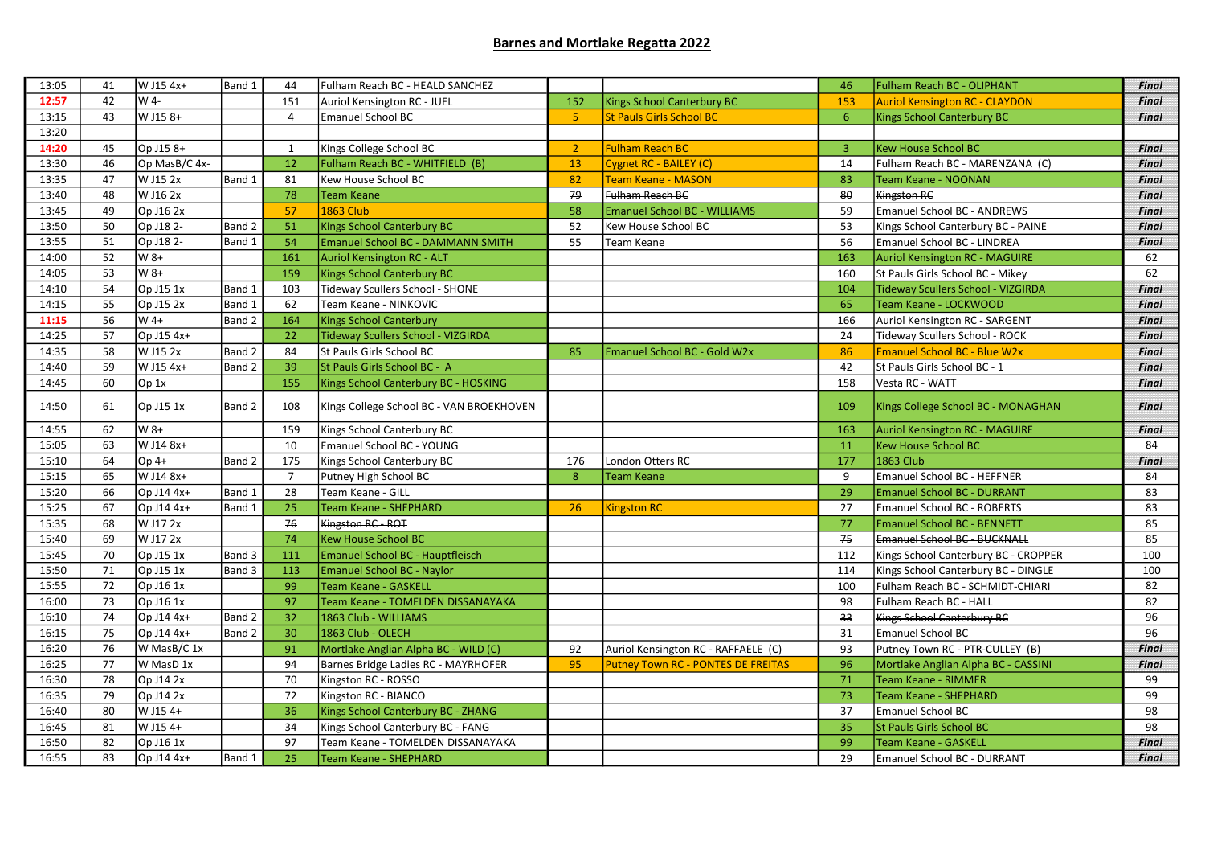## Barnes and Mortlake Regatta 2022

| 13:05 | 41 | W J15 4x+        | Band 1 | 44             | Fulham Reach BC - HEALD SANCHEZ          |                |                                     | 46             | <b>Fulham Reach BC - OLIPHANT</b>         | <b>Final</b> |
|-------|----|------------------|--------|----------------|------------------------------------------|----------------|-------------------------------------|----------------|-------------------------------------------|--------------|
| 12:57 | 42 | W 4-             |        | 151            | Auriol Kensington RC - JUEL              | 152            | <b>Kings School Canterbury BC</b>   | 153            | <b>Auriol Kensington RC - CLAYDON</b>     | <b>Final</b> |
| 13:15 | 43 | W J15 8+         |        | $\overline{4}$ | <b>Emanuel School BC</b>                 | $\overline{5}$ | <b>St Pauls Girls School BC</b>     | 6              | <b>Kings School Canterbury BC</b>         | <b>Final</b> |
| 13:20 |    |                  |        |                |                                          |                |                                     |                |                                           |              |
| 14:20 | 45 | Op J15 8+        |        | 1              | Kings College School BC                  | $\overline{2}$ | <b>Fulham Reach BC</b>              | $\overline{3}$ | <b>Kew House School BC</b>                | <b>Final</b> |
| 13:30 | 46 | Op MasB/C 4x-    |        | 12             | Fulham Reach BC - WHITFIELD (B)          | 13             | Cygnet RC - BAILEY (C)              | 14             | Fulham Reach BC - MARENZANA (C)           | <b>Final</b> |
| 13:35 | 47 | W J15 2x         | Band 1 | 81             | Kew House School BC                      | 82             | <b>Team Keane - MASON</b>           | 83             | Team Keane - NOONAN                       | <b>Final</b> |
| 13:40 | 48 | W J16 2x         |        | 78             | <b>Team Keane</b>                        | 79             | Fulham Reach BC                     | 80             | Kingston RC                               | <b>Final</b> |
| 13:45 | 49 | Op J16 2x        |        | 57             | <b>1863 Club</b>                         | 58             | <b>Emanuel School BC - WILLIAMS</b> | 59             | <b>Emanuel School BC - ANDREWS</b>        | <b>Final</b> |
| 13:50 | 50 | Op J18 2-        | Band 2 | 51             | <b>Kings School Canterbury BC</b>        | 52             | Kew House School BC                 | 53             | Kings School Canterbury BC - PAINE        | <b>Final</b> |
| 13:55 | 51 | Op J18 2-        | Band 1 | 54             | Emanuel School BC - DAMMANN SMITH        | 55             | Team Keane                          | 56             | <b>Emanuel School BC - LINDREA</b>        | <b>Final</b> |
| 14:00 | 52 | W 8+             |        | 161            | <b>Auriol Kensington RC - ALT</b>        |                |                                     | 163            | Auriol Kensington RC - MAGUIRE            | 62           |
| 14:05 | 53 | W 8+             |        | 159            | Kings School Canterbury BC               |                |                                     | 160            | St Pauls Girls School BC - Mikey          | 62           |
| 14:10 | 54 | Op J15 1x        | Band 1 | 103            | Tideway Scullers School - SHONE          |                |                                     | 104            | <b>Tideway Scullers School - VIZGIRDA</b> | <b>Final</b> |
| 14:15 | 55 | Op J15 2x        | Band 1 | 62             | Team Keane - NINKOVIC                    |                |                                     | 65             | Team Keane - LOCKWOOD                     | <b>Final</b> |
| 11:15 | 56 | $W$ 4+           | Band 2 | 164            | <b>Kings School Canterbury</b>           |                |                                     | 166            | Auriol Kensington RC - SARGENT            | Final        |
| 14:25 | 57 | Op J15 4x+       |        | 22             | Tideway Scullers School - VIZGIRDA       |                |                                     | 24             | Tideway Scullers School - ROCK            | <b>Final</b> |
| 14:35 | 58 | W J15 2x         | Band 2 | 84             | St Pauls Girls School BC                 | 85             | Emanuel School BC - Gold W2x        | 86             | <b>Emanuel School BC - Blue W2x</b>       | <b>Final</b> |
| 14:40 | 59 | W J15 4x+        | Band 2 | 39             | St Pauls Girls School BC - A             |                |                                     | 42             | St Pauls Girls School BC - 1              | Final        |
| 14:45 | 60 | Op <sub>1x</sub> |        | 155            | Kings School Canterbury BC - HOSKING     |                |                                     | 158            | Vesta RC - WATT                           | <b>Final</b> |
| 14:50 | 61 | Op J15 1x        | Band 2 | 108            | Kings College School BC - VAN BROEKHOVEN |                |                                     | 109            | Kings College School BC - MONAGHAN        | <b>Final</b> |
| 14:55 | 62 | W 8+             |        | 159            | Kings School Canterbury BC               |                |                                     | 163            | <b>Auriol Kensington RC - MAGUIRE</b>     | <b>Final</b> |
| 15:05 | 63 | W J14 8x+        |        | 10             | Emanuel School BC - YOUNG                |                |                                     | 11             | <b>Kew House School BC</b>                | 84           |
| 15:10 | 64 | $Op4+$           | Band 2 | 175            | Kings School Canterbury BC               | 176            | London Otters RC                    | 177            | <b>1863 Club</b>                          | <b>Final</b> |
| 15:15 | 65 | W J14 8x+        |        | $\overline{7}$ | Putney High School BC                    | 8              | <b>Team Keane</b>                   | 9              | Emanuel School BC - HEFFNER               | 84           |
| 15:20 | 66 | Op J14 4x+       | Band 1 | 28             | Team Keane - GILL                        |                |                                     | 29             | <b>Emanuel School BC - DURRANT</b>        | 83           |
| 15:25 | 67 | Op J14 4x+       | Band 1 | 25             | Team Keane - SHEPHARD                    | 26             | <b>Kingston RC</b>                  | 27             | Emanuel School BC - ROBERTS               | 83           |
| 15:35 | 68 | W J17 2x         |        | 76             | Kingston RC - ROT                        |                |                                     | 77             | <b>Emanuel School BC - BENNETT</b>        | 85           |
| 15:40 | 69 | W J17 2x         |        | 74             | <b>Kew House School BC</b>               |                |                                     | 75             | Emanuel School BC - BUCKNALL              | 85           |
| 15:45 | 70 | Op J15 1x        | Band 3 | 111            | Emanuel School BC - Hauptfleisch         |                |                                     | 112            | Kings School Canterbury BC - CROPPER      | 100          |
| 15:50 | 71 | Op J15 1x        | Band 3 | 113            | Emanuel School BC - Naylor               |                |                                     | 114            | Kings School Canterbury BC - DINGLE       | 100          |
| 15:55 | 72 | Op J16 1x        |        | 99             | <b>Team Keane - GASKELL</b>              |                |                                     | 100            | Fulham Reach BC - SCHMIDT-CHIARI          | 82           |
| 16:00 | 73 | Op J16 1x        |        | 97             | Team Keane - TOMELDEN DISSANAYAKA        |                |                                     | 98             | Fulham Reach BC - HALL                    | 82           |
| 16:10 | 74 | Op J14 4x+       | Band 2 | 32             | 1863 Club - WILLIAMS                     |                |                                     | 33             | Kings School Canterbury BC                | 96           |
| 16:15 | 75 | Op J14 4x+       | Band 2 | 30             | 1863 Club - OLECH                        |                |                                     | 31             | <b>Emanuel School BC</b>                  | 96           |
| 16:20 | 76 | W MasB/C 1x      |        | 91             | Mortlake Anglian Alpha BC - WILD (C)     | 92             | Auriol Kensington RC - RAFFAELE (C) | 93             | Putney Town RC - PTR-CULLEY (B)           | <b>Final</b> |
| 16:25 | 77 | W MasD 1x        |        | 94             | Barnes Bridge Ladies RC - MAYRHOFER      | 95             | Putney Town RC - PONTES DE FREITAS  | 96             | Mortlake Anglian Alpha BC - CASSINI       | <b>Final</b> |
| 16:30 | 78 | Op J14 2x        |        | 70             | Kingston RC - ROSSO                      |                |                                     | 71             | <b>Team Keane - RIMMER</b>                | 99           |
| 16:35 | 79 | Op J14 2x        |        | 72             | Kingston RC - BIANCO                     |                |                                     | 73             | <b>Team Keane - SHEPHARD</b>              | 99           |
| 16:40 | 80 | W J15 4+         |        | 36             | Kings School Canterbury BC - ZHANG       |                |                                     | 37             | <b>Emanuel School BC</b>                  | 98           |
| 16:45 | 81 | W J15 4+         |        | 34             | Kings School Canterbury BC - FANG        |                |                                     | 35             | <b>St Pauls Girls School BC</b>           | 98           |
| 16:50 | 82 | Op J16 1x        |        | 97             | Team Keane - TOMELDEN DISSANAYAKA        |                |                                     | 99             | Team Keane - GASKELL                      | <b>Final</b> |
| 16:55 | 83 | Op J14 4x+       | Band 1 | 25             | Team Keane - SHEPHARD                    |                |                                     | 29             | Emanuel School BC - DURRANT               | <b>Final</b> |
|       |    |                  |        |                |                                          |                |                                     |                |                                           |              |